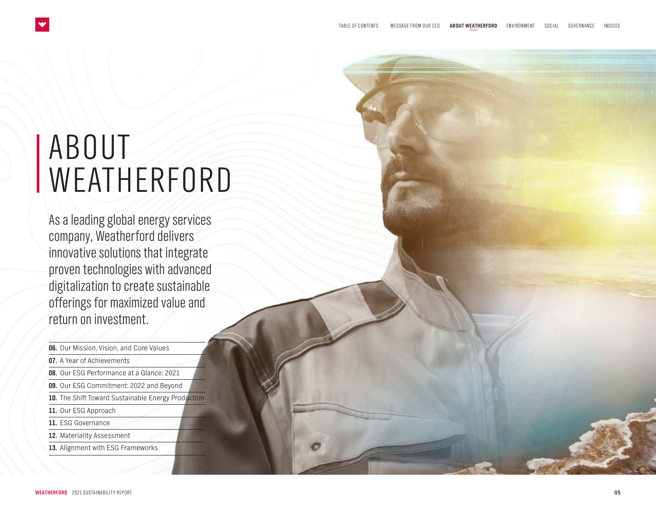# <span id="page-0-0"></span>ABOUT WEATHERFORD

As a leading global energy services company, Weatherford delivers innovative solutions that integrate proven technologies with advanced digitalization to create sustainable offerings for maximized value and return on investment.

**06.** [Our Mission, Vision, and](#page-1-0) Core Values **07.** [A Year of Achievements](#page-2-0) **08.** [Our ESG Performance at a Glance: 2021](#page-3-0) **09.** [Our ESG Commitment: 2022 and Beyond](#page-4-0) **10.** [The Shift Toward Sustainable Energy](#page-5-0) Production **11.** [Our ESG Approach](#page-6-0) **11.** [ESG Governance](#page-6-0) **12.** [Materiality Assessment](#page-7-0) **13.** [Alignment with ESG Frameworks](#page-8-0)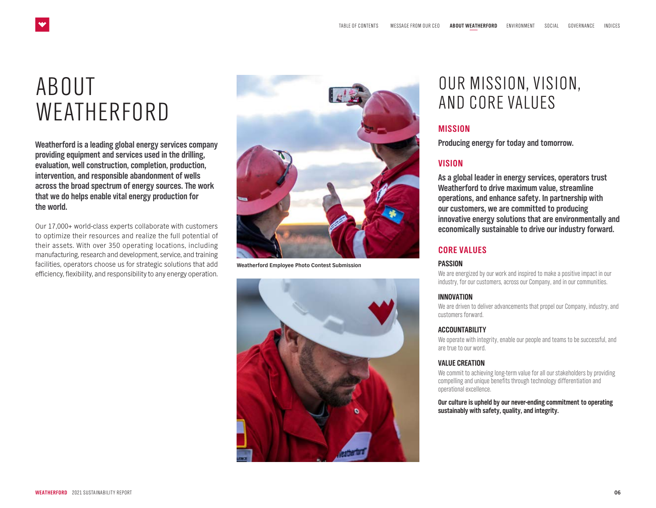# <span id="page-1-0"></span>ABOUT **WEATHERFORD**

**Weatherford is a leading global energy services company providing equipment and services used in the drilling, evaluation, well construction, completion, production, intervention, and responsible abandonment of wells across the broad spectrum of energy sources. The work that we do helps enable vital energy production for the world.**

Our 17,000+ world-class experts collaborate with customers to optimize their resources and realize the full potential of their assets. With over 350 operating locations, including manufacturing, research and development, service, and training facilities, operators choose us for strategic solutions that add efficiency, flexibility, and responsibility to any energy operation.



**Weatherford Employee Photo Contest Submission**



## OUR MISSION, VISION, AND CORE VALUES

### **MISSION**

**Producing energy for today and tomorrow.**

### **VISION**

**As a global leader in energy services, operators trust Weatherford to drive maximum value, streamline operations, and enhance safety. In partnership with our customers, we are committed to producing innovative energy solutions that are environmentally and economically sustainable to drive our industry forward.**

#### **CORE VALUES**

#### **PASSION**

We are energized by our work and inspired to make a positive impact in our industry, for our customers, across our Company, and in our communities.

#### **INNOVATION**

We are driven to deliver advancements that propel our Company, industry, and customers forward.

#### **ACCOUNTABILITY**

We operate with integrity, enable our people and teams to be successful, and are true to our word.

#### **VALUE CREATION**

We commit to achieving long-term value for all our stakeholders by providing compelling and unique benefits through technology differentiation and operational excellence.

**Our culture is upheld by our never-ending commitment to operating sustainably with safety, quality, and integrity.**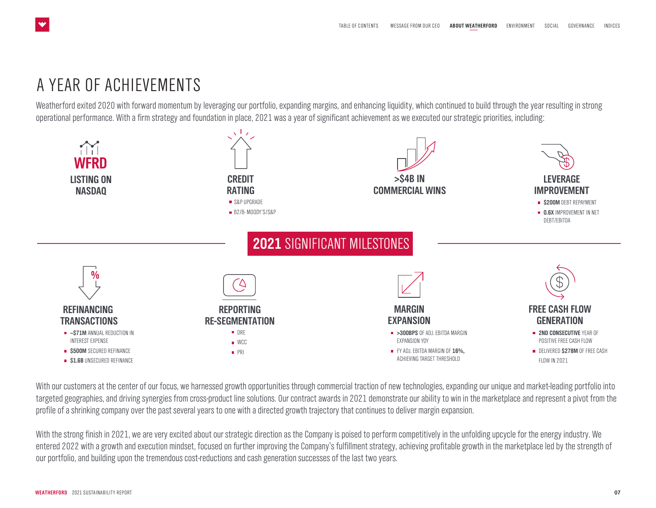### <span id="page-2-0"></span>A YEAR OF ACHIEVEMENTS

Weatherford exited 2020 with forward momentum by leveraging our portfolio, expanding margins, and enhancing liquidity, which continued to build through the year resulting in strong operational performance. With a firm strategy and foundation in place, 2021 was a year of significant achievement as we executed our strategic priorities, including:



With our customers at the center of our focus, we harnessed growth opportunities through commercial traction of new technologies, expanding our unique and market-leading portfolio into targeted geographies, and driving synergies from cross-product line solutions. Our contract awards in 2021 demonstrate our ability to win in the marketplace and represent a pivot from the profile of a shrinking company over the past several years to one with a directed growth trajectory that continues to deliver margin expansion.

With the strong finish in 2021, we are very excited about our strategic direction as the Company is poised to perform competitively in the unfolding upcycle for the energy industry. We entered 2022 with a growth and execution mindset, focused on further improving the Company's fulfillment strategy, achieving profitable growth in the marketplace led by the strength of our portfolio, and building upon the tremendous cost-reductions and cash generation successes of the last two years.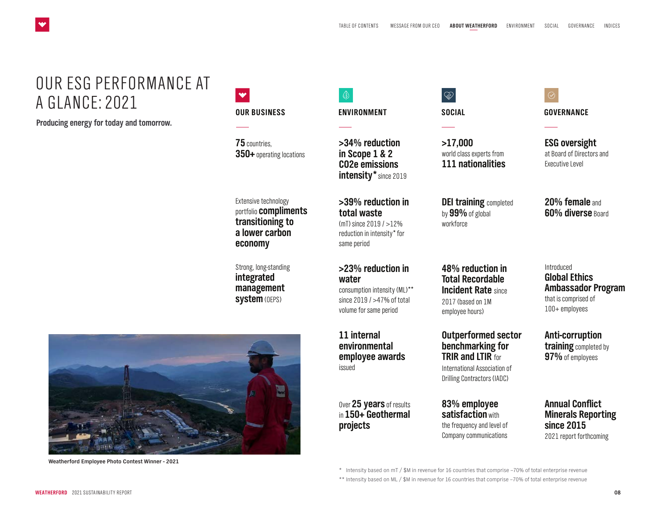### OUR ESG PERFORMANCE AT A GLANCE: 2021

**Producing energy for today and tomorrow.**

<span id="page-3-0"></span> $\bullet$ 

| OUR BUSINESS |
|--------------|

**75** countries, **350+** operating locations

Extensive technology portfolio **compliments transitioning to a lower carbon economy** 

Strong, long-standing **integrated management** 

**>34% reduction in Scope 1 & 2 CO2e emissions intensity\*** since 2019

**ENVIRONMENT**

 $\circledR$ 

**>39% reduction in total waste** (mT) since 2019 / >12% reduction in intensity\* for same period

### **>23% reduction in water**

consumption intensity (ML)\*\* since 2019 / >47% of total volume for same period

**11 internal environmental employee awards**  issued

Over **25 years** of results in **150+ Geothermal projects**

## $\bigotimes$

**SOCIAL**

**>17,000** world class experts from **111 nationalities**

**DEI training** completed by **99%** of global workforce

**48% reduction in Total Recordable Incident Rate** since 2017 (based on 1M employee hours)

**Outperformed sector benchmarking for TRIR and LTIR** for

International Association of Drilling Contractors (IADC)

**83% employee satisfaction** with the frequency and level of Company communications

 $\oslash$ **GOVERNANCE**

**ESG oversight** at Board of Directors and Executive Level

**20% female** and **60% diverse** Board

Introduced **Global Ethics Ambassador Program**  that is comprised of 100+ employees

**Anti-corruption training** completed by **97%** of employees

**Annual Conflict Minerals Reporting since 2015**  2021 report forthcoming

**Weatherford Employee Photo Contest Winner - 2021**

\* Intensity based on  $mT /$  \$M in revenue for 16 countries that comprise ~70% of total enterprise revenue \*\* Intensity based on ML / \$M in revenue for 16 countries that comprise ~70% of total enterprise revenue

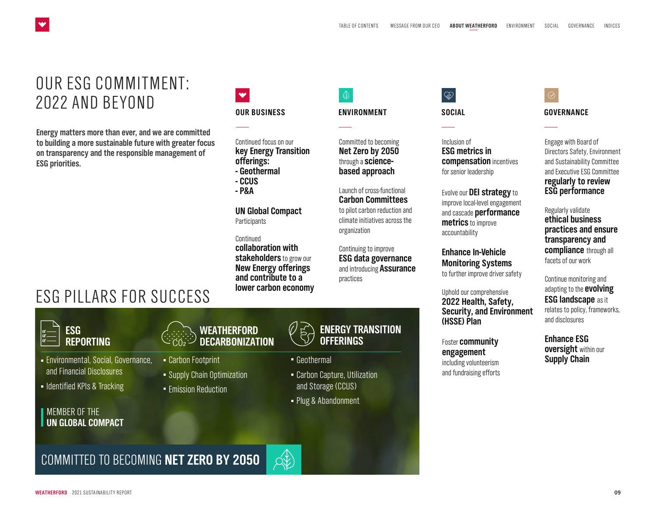### OUR ESG COMMITMENT: 2022 AND BEYOND

<span id="page-4-0"></span> $\bullet$ 

**Energy matters more than ever, and we are committed to building a more sustainable future with greater focus on transparency and the responsible management of ESG priorities.**

## ESG PILLARS FOR SUCCESS

### $\blacktriangledown$ **OUR BUSINESS ENVIRONMENT SOCIAL GOVERNANCE**

Continued focus on our **key Energy Transition offerings: - Geothermal**

- **CCUS**
- 
- **P&A**

**UN Global Compact Participants** 

**Continued collaboration with** 

**stakeholders** to grow our **New Energy offerings and contribute to a lower carbon economy**

 $\circledR$ 

Committed to becoming **Net Zero by 2050**  through a **sciencebased approach**

Launch of cross-functional **Carbon Committees**  to pilot carbon reduction and climate initiatives across the organization

Continuing to improve **ESG data governance**  and introducing **Assurance** practices



Inclusion of **ESG metrics in compensation** incentives for senior leadership

Evolve our **DEI strategy** to improve local-level engagement and cascade **performance metrics** to improve accountability

**Enhance In-Vehicle Monitoring Systems**

to further improve driver safety

Uphold our comprehensive **2022 Health, Safety, Security, and Environment (HSSE) Plan**

Foster **community engagement** including volunteerism and fundraising efforts Engage with Board of Directors Safety, Environment and Sustainability Committee and Executive ESG Committee **regularly to review ESG performance**

 $\oslash$ 

Regularly validate **ethical business practices and ensure transparency and compliance** through all facets of our work

Continue monitoring and adapting to the **evolving ESG landscape** as it relates to policy, frameworks, and disclosures

**Enhance ESG oversight** within our **Supply Chain**

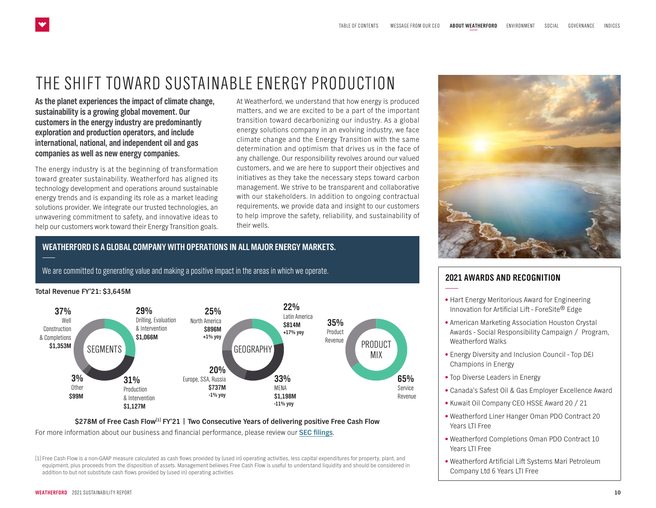### <span id="page-5-0"></span>THE SHIFT TOWARD SUSTAINABLE ENERGY PRODUCTION

**As the planet experiences the impact of climate change, sustainability is a growing global movement. Our customers in the energy industry are predominantly exploration and production operators, and include international, national, and independent oil and gas companies as well as new energy companies.**

The energy industry is at the beginning of transformation toward greater sustainability. Weatherford has aligned its technology development and operations around sustainable energy trends and is expanding its role as a market leading solutions provider. We integrate our trusted technologies, an unwavering commitment to safety, and innovative ideas to help our customers work toward their Energy Transition goals. At Weatherford, we understand that how energy is produced matters, and we are excited to be a part of the important transition toward decarbonizing our industry. As a global energy solutions company in an evolving industry, we face climate change and the Energy Transition with the same determination and optimism that drives us in the face of any challenge. Our responsibility revolves around our valued customers, and we are here to support their objectives and initiatives as they take the necessary steps toward carbon management. We strive to be transparent and collaborative with our stakeholders. In addition to ongoing contractual requirements, we provide data and insight to our customers to help improve the safety, reliability, and sustainability of their wells.

#### **WEATHERFORD IS A GLOBAL COMPANY WITH OPERATIONS IN ALL MAJOR ENERGY MARKETS.**

We are committed to generating value and making a positive impact in the areas in which we operate.

#### **Total Revenue FY'21: \$3,645M**



#### **\$278M of Free Cash Flow[1] FY'21 | Two Consecutive Years of delivering positive Free Cash Flow** For more information about our business and financial performance, please review our **[SEC filings](https://www.weatherford.com/en/investor-relations/financial-information/sec-filings/)**.

[1] Free Cash Flow is a non-GAAP measure calculated as cash flows provided by (used in) operating activities, less capital expenditures for property, plant, and equipment, plus proceeds from the disposition of assets. Management believes Free Cash Flow is useful to understand liquidity and should be considered in addition to but not substitute cash flows provided by (used in) operating activities



### **2021 AWARDS AND RECOGNITION**

- Hart Energy Meritorious Award for Engineering Innovation for Artificial Lift - ForeSite® Edge
- American Marketing Association Houston Crystal Awards - Social Responsibility Campaign / Program, Weatherford Walks
- Energy Diversity and Inclusion Council Top DEI Champions in Energy
- Top Diverse Leaders in Energy
- Canada's Safest Oil & Gas Employer Excellence Award
- Kuwait Oil Company CEO HSSE Award 20 / 21
- Weatherford Liner Hanger Oman PDO Contract 20 Years LTI Free
- Weatherford Completions Oman PDO Contract 10 Years ITI Free
- Weatherford Artificial Lift Systems Mari Petroleum Company Ltd 6 Years LTI Free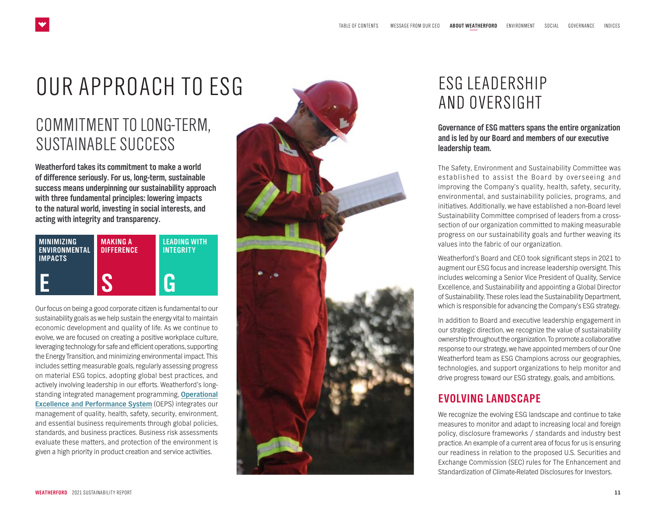# <span id="page-6-0"></span>OUR APPROACH TO ESG

## COMMITMENT TO LONG-TERM, SUSTAINABLE SUCCESS

**Weatherford takes its commitment to make a world of difference seriously. For us, long-term, sustainable success means underpinning our sustainability approach with three fundamental principles: lowering impacts to the natural world, investing in social interests, and acting with integrity and transparency.**

| <b>MINIMIZING</b><br><b>ENVIRONMENTAL</b><br><b>IMPACTS</b> | <b>MAKING A</b><br><b>DIFFERENCE</b> | <b>LEADING WITH</b><br><b>INTEGRITY</b> |
|-------------------------------------------------------------|--------------------------------------|-----------------------------------------|
|                                                             |                                      |                                         |

Our focus on being a good corporate citizen is fundamental to our sustainability goals as we help sustain the energy vital to maintain economic development and quality of life. As we continue to evolve, we are focused on creating a positive workplace culture, leveraging technology for safe and efficient operations, supporting the Energy Transition, and minimizing environmental impact. This includes setting measurable goals, regularly assessing progress on material ESG topics, adopting global best practices, and actively involving leadership in our efforts. Weatherford's longstanding integrated management programming, **[Operational](https://www.weatherford.com/documents/other/weatherford-operational-excellence-and-performance-policy/) [Excellence and Performance System](https://www.weatherford.com/documents/other/weatherford-operational-excellence-and-performance-policy/)** (OEPS) integrates our management of quality, health, safety, security, environment, and essential business requirements through global policies, standards, and business practices. Business risk assessments evaluate these matters, and protection of the environment is given a high priority in product creation and service activities.



## ESG LEADERSHIP AND OVERSIGHT

### **Governance of ESG matters spans the entire organization and is led by our Board and members of our executive leadership team.**

The Safety, Environment and Sustainability Committee was established to assist the Board by overseeing and improving the Company's quality, health, safety, security, environmental, and sustainability policies, programs, and initiatives. Additionally, we have established a non-Board level Sustainability Committee comprised of leaders from a crosssection of our organization committed to making measurable progress on our sustainability goals and further weaving its values into the fabric of our organization.

Weatherford's Board and CEO took significant steps in 2021 to augment our ESG focus and increase leadership oversight. This includes welcoming a Senior Vice President of Quality, Service Excellence, and Sustainability and appointing a Global Director of Sustainability. These roles lead the Sustainability Department, which is responsible for advancing the Company's ESG strategy.

In addition to Board and executive leadership engagement in our strategic direction, we recognize the value of sustainability ownership throughout the organization. To promote a collaborative response to our strategy, we have appointed members of our One Weatherford team as ESG Champions across our geographies, technologies, and support organizations to help monitor and drive progress toward our ESG strategy, goals, and ambitions.

### **EVOLVING LANDSCAPE**

We recognize the evolving ESG landscape and continue to take measures to monitor and adapt to increasing local and foreign policy, disclosure frameworks / standards and industry best practice. An example of a current area of focus for us is ensuring our readiness in relation to the proposed U.S. Securities and Exchange Commission (SEC) rules for The Enhancement and Standardization of Climate-Related Disclosures for Investors.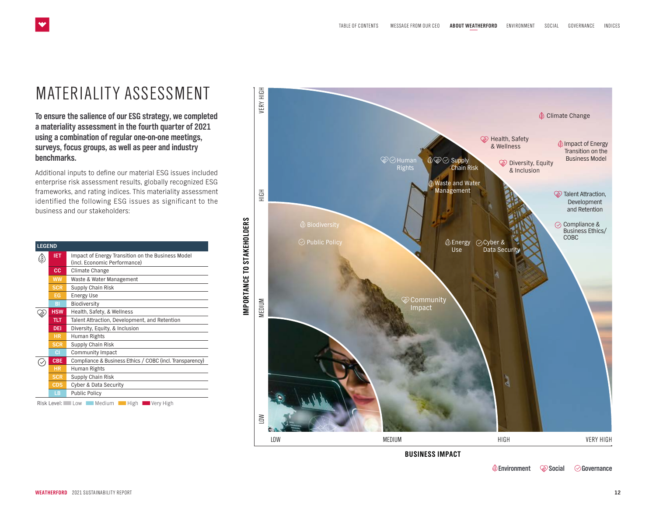## <span id="page-7-0"></span>MATERIALITY ASSESSMENT

**To ensure the salience of our ESG strategy, we completed a materiality assessment in the fourth quarter of 2021 using a combination of regular one-on-one meetings, surveys, focus groups, as well as peer and industry benchmarks.**

Additional inputs to define our material ESG issues included enterprise risk assessment results, globally recognized ESG frameworks, and rating indices. This materiality assessment identified the following ESG issues as significant to the business and our stakeholders:

| <b>LEGEND</b> |                                                                                   |  |
|---------------|-----------------------------------------------------------------------------------|--|
| <b>IET</b>    | Impact of Energy Transition on the Business Model<br>(incl. Economic Performance) |  |
| <b>CC</b>     | Climate Change                                                                    |  |
| <b>WW</b>     | Waste & Water Management                                                          |  |
| <b>SCR</b>    | Supply Chain Risk                                                                 |  |
| EG            | <b>Energy Use</b>                                                                 |  |
| BI            | Biodiversity                                                                      |  |
| <b>HSW</b>    | Health, Safety, & Wellness                                                        |  |
| <b>TLT</b>    | Talent Attraction, Development, and Retention                                     |  |
| DEI           | Diversity, Equity, & Inclusion                                                    |  |
| <b>HR</b>     | Human Rights                                                                      |  |
| <b>SCR</b>    | Supply Chain Risk                                                                 |  |
| ЮI            | Community Impact                                                                  |  |
| <b>CBE</b>    | Compliance & Business Ethics / COBC (incl. Transparency)                          |  |
| <b>HR</b>     | Human Rights                                                                      |  |
| <b>SCR</b>    | Supply Chain Risk                                                                 |  |
| CDS           | <b>Cyber &amp; Data Security</b>                                                  |  |
| 1B            | <b>Public Policy</b>                                                              |  |

Risk Level: Low Medium High Wery High



 **Environment Social Governance**